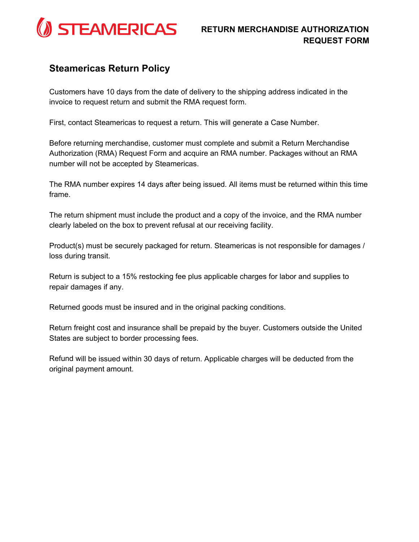

## **Steamericas Return Policy**

Customers have 10 days from the date of delivery to the shipping address indicated in the invoice to request return and submit the RMA request form.

First, contact Steamericas to request a return. This will generate a Case Number.

Before returning merchandise, customer must complete and submit a Return Merchandise Authorization (RMA) Request Form and acquire an RMA number. Packages without an RMA number will not be accepted by Steamericas.

The RMA number expires 14 days after being issued. All items must be returned within this time frame.

The return shipment must include the product and a copy of the invoice, and the RMA number clearly labeled on the box to prevent refusal at our receiving facility.

Product(s) must be securely packaged for return. Steamericas is not responsible for damages / loss during transit.

Return is subject to a 15% restocking fee plus applicable charges for labor and supplies to repair damages if any.

Returned goods must be insured and in the original packing conditions.

Return freight cost and insurance shall be prepaid by the buyer. Customers outside the United States are subject to border processing fees.

Refund will be issued within 30 days of return. Applicable charges will be deducted from the original payment amount.